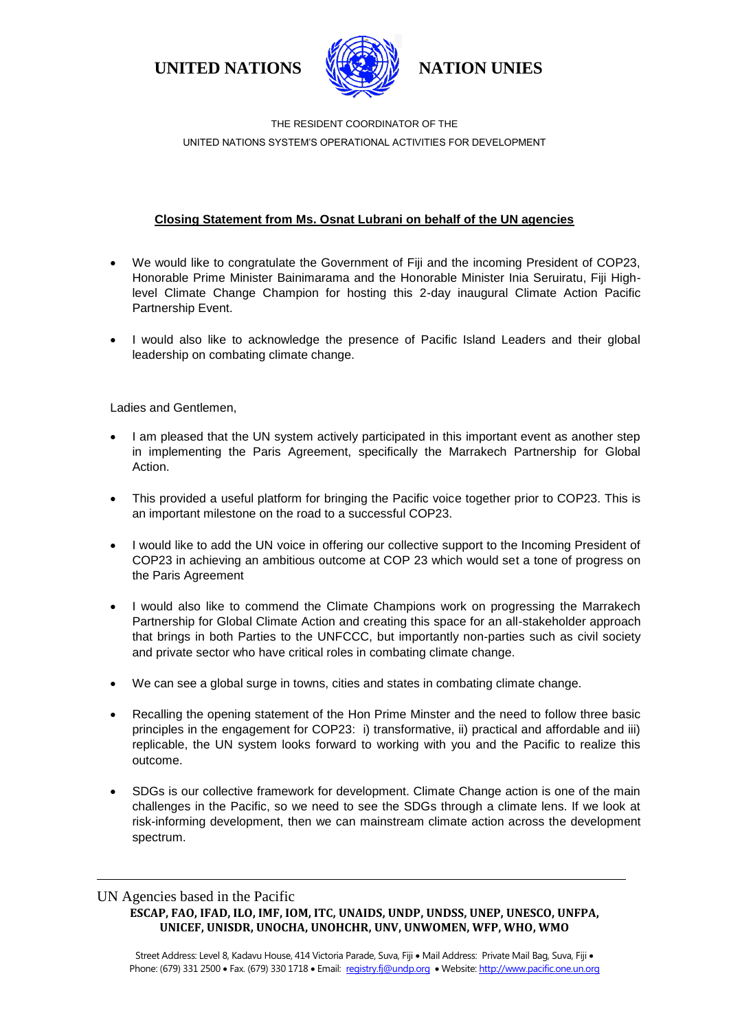**UNITED NATIONS NATION UNIES**



THE RESIDENT COORDINATOR OF THE UNITED NATIONS SYSTEM'S OPERATIONAL ACTIVITIES FOR DEVELOPMENT

## **Closing Statement from Ms. Osnat Lubrani on behalf of the UN agencies**

- We would like to congratulate the Government of Fiji and the incoming President of COP23, Honorable Prime Minister Bainimarama and the Honorable Minister Inia Seruiratu, Fiji Highlevel Climate Change Champion for hosting this 2-day inaugural Climate Action Pacific Partnership Event.
- I would also like to acknowledge the presence of Pacific Island Leaders and their global leadership on combating climate change.

Ladies and Gentlemen,

- I am pleased that the UN system actively participated in this important event as another step in implementing the Paris Agreement, specifically the Marrakech Partnership for Global Action.
- This provided a useful platform for bringing the Pacific voice together prior to COP23. This is an important milestone on the road to a successful COP23.
- I would like to add the UN voice in offering our collective support to the Incoming President of COP23 in achieving an ambitious outcome at COP 23 which would set a tone of progress on the Paris Agreement
- I would also like to commend the Climate Champions work on progressing the Marrakech Partnership for Global Climate Action and creating this space for an all-stakeholder approach that brings in both Parties to the UNFCCC, but importantly non-parties such as civil society and private sector who have critical roles in combating climate change.
- We can see a global surge in towns, cities and states in combating climate change.
- Recalling the opening statement of the Hon Prime Minster and the need to follow three basic principles in the engagement for COP23: i) transformative, ii) practical and affordable and iii) replicable, the UN system looks forward to working with you and the Pacific to realize this outcome.
- SDGs is our collective framework for development. Climate Change action is one of the main challenges in the Pacific, so we need to see the SDGs through a climate lens. If we look at risk-informing development, then we can mainstream climate action across the development spectrum.

## UN Agencies based in the Pacific

**ESCAP, FAO, IFAD, ILO, IMF, IOM, ITC, UNAIDS, UNDP, UNDSS, UNEP, UNESCO, UNFPA, UNICEF, UNISDR, UNOCHA, UNOHCHR, UNV, UNWOMEN, WFP, WHO, WMO**